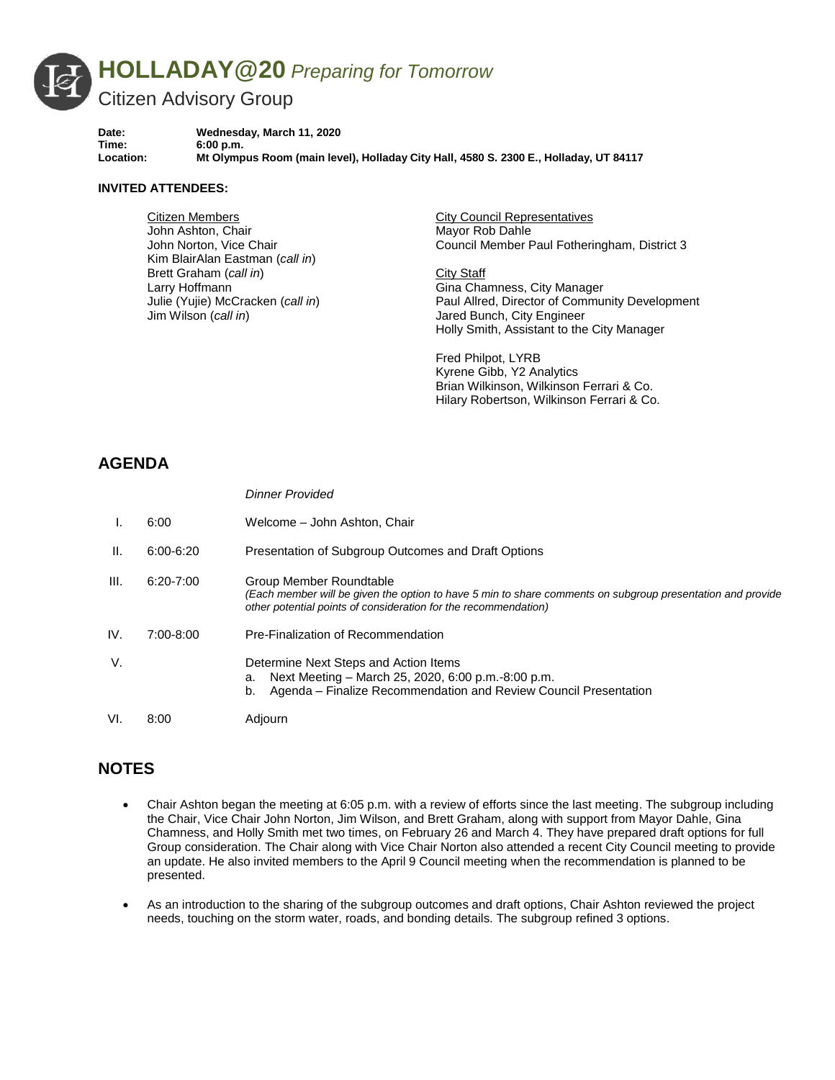

**Date: Wednesday, March 11, 2020 Time: 6:00 p.m. Location: Mt Olympus Room (main level), Holladay City Hall, 4580 S. 2300 E., Holladay, UT 84117**

#### **INVITED ATTENDEES:**

Citizen Members John Ashton, Chair John Norton, Vice Chair Kim BlairAlan Eastman (*call in*) Brett Graham (*call in*) Larry Hoffmann Julie (Yujie) McCracken (*call in*) Jim Wilson (*call in*)

*Dinner Provided*

City Council Representatives Mayor Rob Dahle Council Member Paul Fotheringham, District 3

City Staff Gina Chamness, City Manager Paul Allred, Director of Community Development Jared Bunch, City Engineer Holly Smith, Assistant to the City Manager

Fred Philpot, LYRB Kyrene Gibb, Y2 Analytics Brian Wilkinson, Wilkinson Ferrari & Co. Hilary Robertson, Wilkinson Ferrari & Co.

# **AGENDA**

|      |               | <i>D</i> iniel Fluviueu                                                                                                                                                                                  |
|------|---------------|----------------------------------------------------------------------------------------------------------------------------------------------------------------------------------------------------------|
|      | 6:00          | Welcome - John Ashton, Chair                                                                                                                                                                             |
| H.   | $6:00 - 6:20$ | Presentation of Subgroup Outcomes and Draft Options                                                                                                                                                      |
| III. | $6:20 - 7:00$ | Group Member Roundtable<br>(Each member will be given the option to have 5 min to share comments on subgroup presentation and provide<br>other potential points of consideration for the recommendation) |
| IV.  | 7:00-8:00     | Pre-Finalization of Recommendation                                                                                                                                                                       |
| V.   |               | Determine Next Steps and Action Items<br>Next Meeting – March 25, 2020, 6:00 p.m.-8:00 p.m.<br>а.<br>Agenda – Finalize Recommendation and Review Council Presentation<br>b.                              |
| VI.  | 8:00          | Adiourn                                                                                                                                                                                                  |

# **NOTES**

- Chair Ashton began the meeting at 6:05 p.m. with a review of efforts since the last meeting. The subgroup including the Chair, Vice Chair John Norton, Jim Wilson, and Brett Graham, along with support from Mayor Dahle, Gina Chamness, and Holly Smith met two times, on February 26 and March 4. They have prepared draft options for full Group consideration. The Chair along with Vice Chair Norton also attended a recent City Council meeting to provide an update. He also invited members to the April 9 Council meeting when the recommendation is planned to be presented.
- As an introduction to the sharing of the subgroup outcomes and draft options, Chair Ashton reviewed the project needs, touching on the storm water, roads, and bonding details. The subgroup refined 3 options.